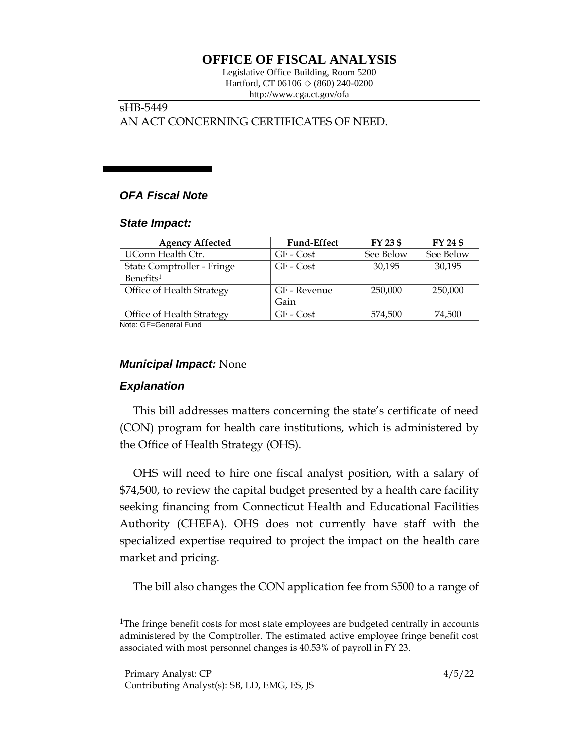# **OFFICE OF FISCAL ANALYSIS**

Legislative Office Building, Room 5200 Hartford, CT 06106  $\Diamond$  (860) 240-0200 http://www.cga.ct.gov/ofa

# sHB-5449 AN ACT CONCERNING CERTIFICATES OF NEED.

## *OFA Fiscal Note*

#### *State Impact:*

| <b>Agency Affected</b>     | <b>Fund-Effect</b> | FY 23 \$  | FY 24 \$  |
|----------------------------|--------------------|-----------|-----------|
| UConn Health Ctr.          | GF - Cost          | See Below | See Below |
| State Comptroller - Fringe | GF - Cost          | 30.195    | 30,195    |
| Benefits <sup>1</sup>      |                    |           |           |
| Office of Health Strategy  | GF - Revenue       | 250,000   | 250,000   |
|                            | Gain               |           |           |
| Office of Health Strategy  | GF - Cost          | 574,500   | 74,500    |

Note: GF=General Fund

### *Municipal Impact:* None

### *Explanation*

This bill addresses matters concerning the state's certificate of need (CON) program for health care institutions, which is administered by the Office of Health Strategy (OHS).

OHS will need to hire one fiscal analyst position, with a salary of \$74,500, to review the capital budget presented by a health care facility seeking financing from Connecticut Health and Educational Facilities Authority (CHEFA). OHS does not currently have staff with the specialized expertise required to project the impact on the health care market and pricing.

The bill also changes the CON application fee from \$500 to a range of

<sup>&</sup>lt;sup>1</sup>The fringe benefit costs for most state employees are budgeted centrally in accounts administered by the Comptroller. The estimated active employee fringe benefit cost associated with most personnel changes is 40.53% of payroll in FY 23.